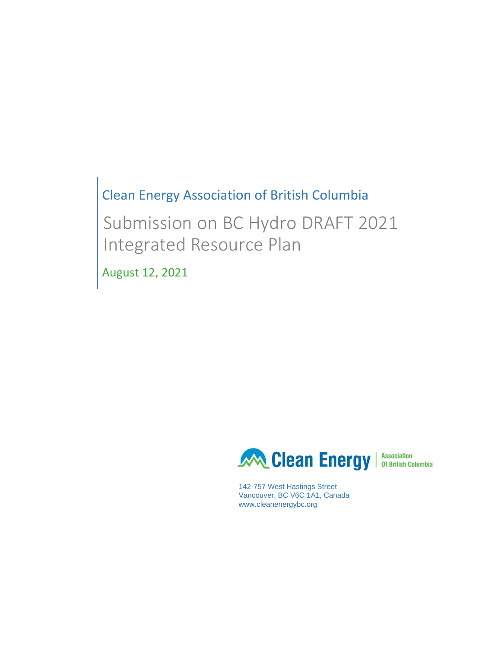# Clean Energy Association of British Columbia

Submission on BC Hydro DRAFT 2021 Integrated Resource Plan

August 12, 2021



142-757 West Hastings Street Vancouver, BC V6C 1A1, Canada www.cleanenergybc.org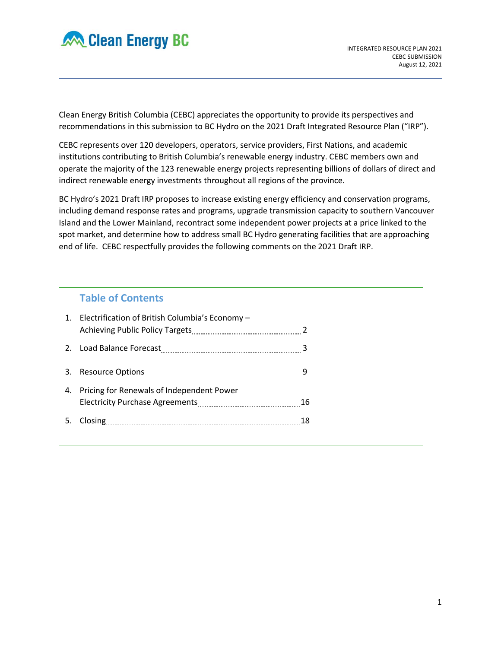

Clean Energy British Columbia (CEBC) appreciates the opportunity to provide its perspectives and recommendations in this submission to BC Hydro on the 2021 Draft Integrated Resource Plan ("IRP").

CEBC represents over 120 developers, operators, service providers, First Nations, and academic institutions contributing to British Columbia's renewable energy industry. CEBC members own and operate the majority of the 123 renewable energy projects representing billions of dollars of direct and indirect renewable energy investments throughout all regions of the province.

BC Hydro's 2021 Draft IRP proposes to increase existing energy efficiency and conservation programs, including demand response rates and programs, upgrade transmission capacity to southern Vancouver Island and the Lower Mainland, recontract some independent power projects at a price linked to the spot market, and determine how to address small BC Hydro generating facilities that are approaching end of life. CEBC respectfully provides the following comments on the 2021 Draft IRP.

## **Table of Contents**

|    | 1. Electrification of British Columbia's Economy - |    |
|----|----------------------------------------------------|----|
|    |                                                    |    |
|    |                                                    |    |
| 4. | Pricing for Renewals of Independent Power          |    |
| 5. |                                                    | 18 |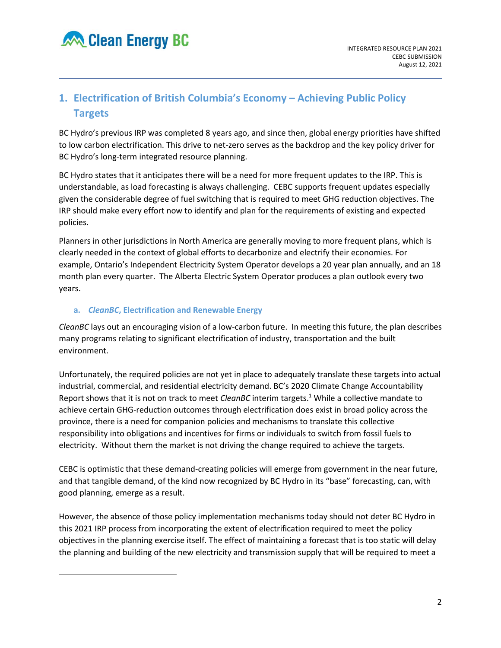# **1. Electrification of British Columbia's Economy – Achieving Public Policy Targets**

BC Hydro's previous IRP was completed 8 years ago, and since then, global energy priorities have shifted to low carbon electrification. This drive to net-zero serves as the backdrop and the key policy driver for BC Hydro's long-term integrated resource planning.

BC Hydro states that it anticipates there will be a need for more frequent updates to the IRP. This is understandable, as load forecasting is always challenging. CEBC supports frequent updates especially given the considerable degree of fuel switching that is required to meet GHG reduction objectives. The IRP should make every effort now to identify and plan for the requirements of existing and expected policies.

Planners in other jurisdictions in North America are generally moving to more frequent plans, which is clearly needed in the context of global efforts to decarbonize and electrify their economies. For example, Ontario's Independent Electricity System Operator develops a 20 year plan annually, and an 18 month plan every quarter. The Alberta Electric System Operator produces a plan outlook every two years.

## **a.** *CleanBC***, Electrification and Renewable Energy**

*CleanBC* lays out an encouraging vision of a low-carbon future. In meeting this future, the plan describes many programs relating to significant electrification of industry, transportation and the built environment.

Unfortunately, the required policies are not yet in place to adequately translate these targets into actual industrial, commercial, and residential electricity demand. BC's 2020 Climate Change Accountability Report shows that it is not on track to meet *CleanBC* interim targets.<sup>1</sup> While a collective mandate to achieve certain GHG-reduction outcomes through electrification does exist in broad policy across the province, there is a need for companion policies and mechanisms to translate this collective responsibility into obligations and incentives for firms or individuals to switch from fossil fuels to electricity. Without them the market is not driving the change required to achieve the targets.

CEBC is optimistic that these demand-creating policies will emerge from government in the near future, and that tangible demand, of the kind now recognized by BC Hydro in its "base" forecasting, can, with good planning, emerge as a result.

However, the absence of those policy implementation mechanisms today should not deter BC Hydro in this 2021 IRP process from incorporating the extent of electrification required to meet the policy objectives in the planning exercise itself. The effect of maintaining a forecast that is too static will delay the planning and building of the new electricity and transmission supply that will be required to meet a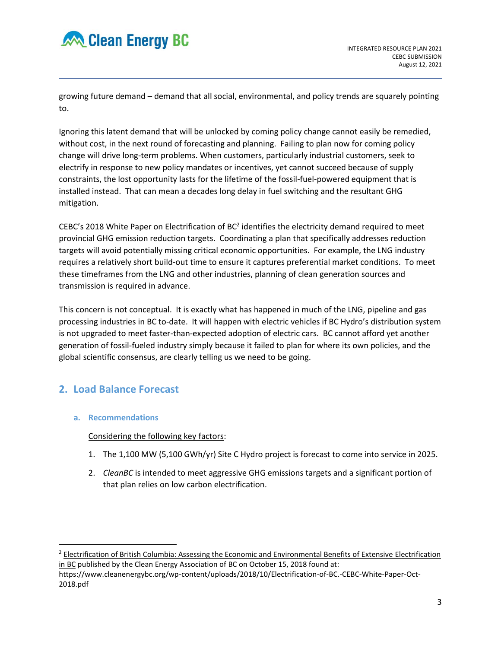

growing future demand – demand that all social, environmental, and policy trends are squarely pointing to.

Ignoring this latent demand that will be unlocked by coming policy change cannot easily be remedied, without cost, in the next round of forecasting and planning. Failing to plan now for coming policy change will drive long-term problems. When customers, particularly industrial customers, seek to electrify in response to new policy mandates or incentives, yet cannot succeed because of supply constraints, the lost opportunity lasts for the lifetime of the fossil-fuel-powered equipment that is installed instead. That can mean a decades long delay in fuel switching and the resultant GHG mitigation.

CEBC's 2018 White Paper on Electrification of BC<sup>2</sup> identifies the electricity demand required to meet provincial GHG emission reduction targets. Coordinating a plan that specifically addresses reduction targets will avoid potentially missing critical economic opportunities. For example, the LNG industry requires a relatively short build-out time to ensure it captures preferential market conditions. To meet these timeframes from the LNG and other industries, planning of clean generation sources and transmission is required in advance.

This concern is not conceptual. It is exactly what has happened in much of the LNG, pipeline and gas processing industries in BC to-date. It will happen with electric vehicles if BC Hydro's distribution system is not upgraded to meet faster-than-expected adoption of electric cars. BC cannot afford yet another generation of fossil-fueled industry simply because it failed to plan for where its own policies, and the global scientific consensus, are clearly telling us we need to be going.

# **2. Load Balance Forecast**

## **a. Recommendations**

Considering the following key factors:

- 1. The 1,100 MW (5,100 GWh/yr) Site C Hydro project is forecast to come into service in 2025.
- 2. *CleanBC* is intended to meet aggressive GHG emissions targets and a significant portion of that plan relies on low carbon electrification.

<sup>&</sup>lt;sup>2</sup> Electrification of British Columbia: Assessing the Economic and Environmental Benefits of Extensive Electrification in BC published by the Clean Energy Association of BC on October 15, 2018 found at:

https://www.cleanenergybc.org/wp-content/uploads/2018/10/Electrification-of-BC.-CEBC-White-Paper-Oct-2018.pdf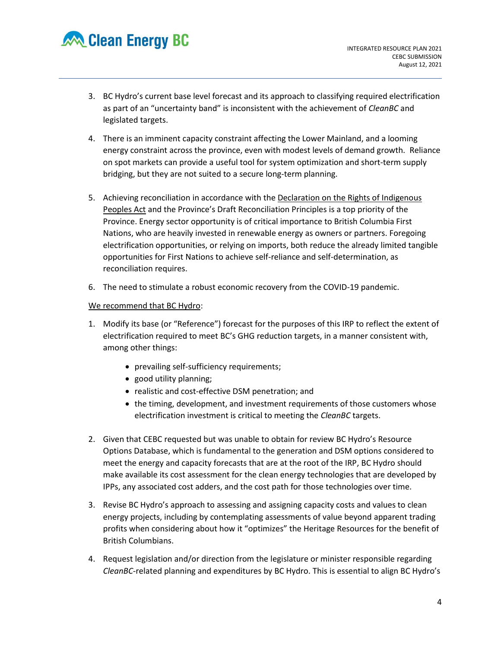

- 3. BC Hydro's current base level forecast and its approach to classifying required electrification as part of an "uncertainty band" is inconsistent with the achievement of *CleanBC* and legislated targets.
- 4. There is an imminent capacity constraint affecting the Lower Mainland, and a looming energy constraint across the province, even with modest levels of demand growth. Reliance on spot markets can provide a useful tool for system optimization and short-term supply bridging, but they are not suited to a secure long-term planning.
- 5. Achieving reconciliation in accordance with the Declaration on the Rights of Indigenous Peoples Act and the Province's Draft Reconciliation Principles is a top priority of the Province. Energy sector opportunity is of critical importance to British Columbia First Nations, who are heavily invested in renewable energy as owners or partners. Foregoing electrification opportunities, or relying on imports, both reduce the already limited tangible opportunities for First Nations to achieve self-reliance and self-determination, as reconciliation requires.
- 6. The need to stimulate a robust economic recovery from the COVID-19 pandemic.

We recommend that BC Hydro:

- 1. Modify its base (or "Reference") forecast for the purposes of this IRP to reflect the extent of electrification required to meet BC's GHG reduction targets, in a manner consistent with, among other things:
	- prevailing self-sufficiency requirements;
	- good utility planning;
	- realistic and cost-effective DSM penetration; and
	- the timing, development, and investment requirements of those customers whose electrification investment is critical to meeting the *CleanBC* targets.
- 2. Given that CEBC requested but was unable to obtain for review BC Hydro's Resource Options Database, which is fundamental to the generation and DSM options considered to meet the energy and capacity forecasts that are at the root of the IRP, BC Hydro should make available its cost assessment for the clean energy technologies that are developed by IPPs, any associated cost adders, and the cost path for those technologies over time.
- 3. Revise BC Hydro's approach to assessing and assigning capacity costs and values to clean energy projects, including by contemplating assessments of value beyond apparent trading profits when considering about how it "optimizes" the Heritage Resources for the benefit of British Columbians.
- 4. Request legislation and/or direction from the legislature or minister responsible regarding *CleanBC-*related planning and expenditures by BC Hydro. This is essential to align BC Hydro's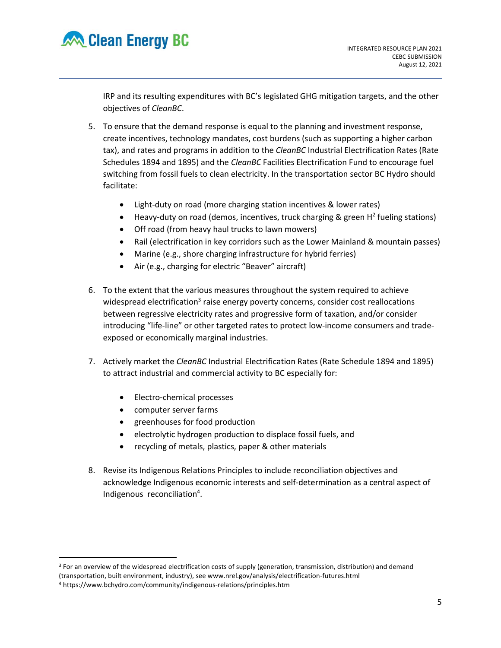

IRP and its resulting expenditures with BC's legislated GHG mitigation targets, and the other objectives of *CleanBC*.

- 5. To ensure that the demand response is equal to the planning and investment response, create incentives, technology mandates, cost burdens (such as supporting a higher carbon tax), and rates and programs in addition to the *CleanBC* Industrial Electrification Rates (Rate Schedules 1894 and 1895) and the *CleanBC* Facilities Electrification Fund to encourage fuel switching from fossil fuels to clean electricity. In the transportation sector BC Hydro should facilitate:
	- Light-duty on road (more charging station incentives & lower rates)
	- Heavy-duty on road (demos, incentives, truck charging & green  $H^2$  fueling stations)
	- Off road (from heavy haul trucks to lawn mowers)
	- Rail (electrification in key corridors such as the Lower Mainland & mountain passes)
	- Marine (e.g., shore charging infrastructure for hybrid ferries)
	- Air (e.g., charging for electric "Beaver" aircraft)
- 6. To the extent that the various measures throughout the system required to achieve widespread electrification<sup>3</sup> raise energy poverty concerns, consider cost reallocations between regressive electricity rates and progressive form of taxation, and/or consider introducing "life-line" or other targeted rates to protect low-income consumers and tradeexposed or economically marginal industries.
- 7. Actively market the *CleanBC* Industrial Electrification Rates (Rate Schedule 1894 and 1895) to attract industrial and commercial activity to BC especially for:
	- Electro-chemical processes
	- computer server farms
	- greenhouses for food production
	- electrolytic hydrogen production to displace fossil fuels, and
	- recycling of metals, plastics, paper & other materials
- 8. Revise its Indigenous Relations Principles to include reconciliation objectives and acknowledge Indigenous economic interests and self-determination as a central aspect of Indigenous reconciliation<sup>4</sup>.

<sup>&</sup>lt;sup>3</sup> For an overview of the widespread electrification costs of supply (generation, transmission, distribution) and demand (transportation, built environment, industry), see www.nrel.gov/analysis/electrification-futures.html

<sup>4</sup> https://www.bchydro.com/community/indigenous-relations/principles.htm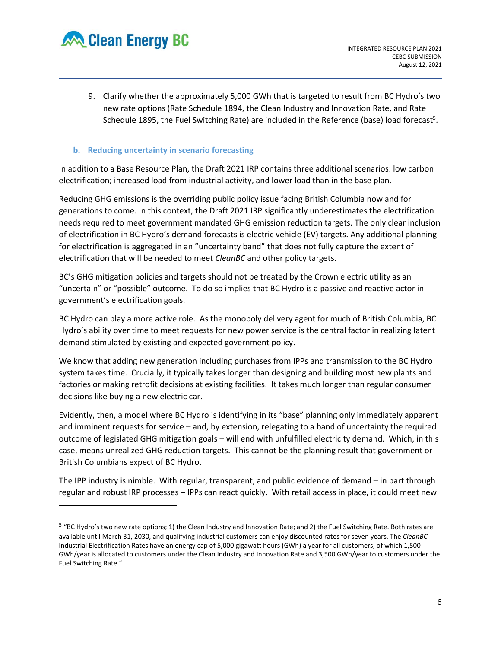

9. Clarify whether the approximately 5,000 GWh that is targeted to result from BC Hydro's two new rate options (Rate Schedule 1894, the Clean Industry and Innovation Rate, and Rate Schedule 1895, the Fuel Switching Rate) are included in the Reference (base) load forecast<sup>5</sup>.

## **b. Reducing uncertainty in scenario forecasting**

In addition to a Base Resource Plan, the Draft 2021 IRP contains three additional scenarios: low carbon electrification; increased load from industrial activity, and lower load than in the base plan.

Reducing GHG emissions is the overriding public policy issue facing British Columbia now and for generations to come. In this context, the Draft 2021 IRP significantly underestimates the electrification needs required to meet government mandated GHG emission reduction targets. The only clear inclusion of electrification in BC Hydro's demand forecasts is electric vehicle (EV) targets. Any additional planning for electrification is aggregated in an "uncertainty band" that does not fully capture the extent of electrification that will be needed to meet *CleanBC* and other policy targets.

BC's GHG mitigation policies and targets should not be treated by the Crown electric utility as an "uncertain" or "possible" outcome. To do so implies that BC Hydro is a passive and reactive actor in government's electrification goals.

BC Hydro can play a more active role. As the monopoly delivery agent for much of British Columbia, BC Hydro's ability over time to meet requests for new power service is the central factor in realizing latent demand stimulated by existing and expected government policy.

We know that adding new generation including purchases from IPPs and transmission to the BC Hydro system takes time. Crucially, it typically takes longer than designing and building most new plants and factories or making retrofit decisions at existing facilities. It takes much longer than regular consumer decisions like buying a new electric car.

Evidently, then, a model where BC Hydro is identifying in its "base" planning only immediately apparent and imminent requests for service – and, by extension, relegating to a band of uncertainty the required outcome of legislated GHG mitigation goals – will end with unfulfilled electricity demand. Which, in this case, means unrealized GHG reduction targets. This cannot be the planning result that government or British Columbians expect of BC Hydro.

The IPP industry is nimble. With regular, transparent, and public evidence of demand – in part through regular and robust IRP processes – IPPs can react quickly. With retail access in place, it could meet new

<sup>&</sup>lt;sup>5</sup> "BC Hydro's two new rate options; 1) the Clean Industry and Innovation Rate; and 2) the Fuel Switching Rate. Both rates are available until March 31, 2030, and qualifying industrial customers can enjoy discounted rates for seven years. The *CleanBC* Industrial Electrification Rates have an energy cap of 5,000 gigawatt hours (GWh) a year for all customers, of which 1,500 GWh/year is allocated to customers under the Clean Industry and Innovation Rate and 3,500 GWh/year to customers under the Fuel Switching Rate."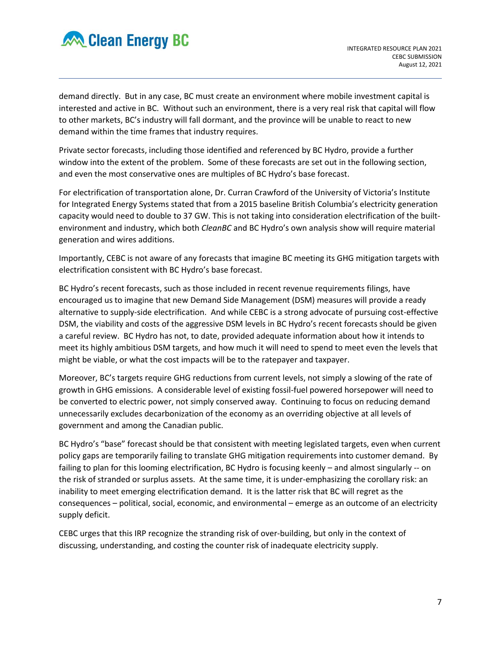

demand directly. But in any case, BC must create an environment where mobile investment capital is interested and active in BC. Without such an environment, there is a very real risk that capital will flow to other markets, BC's industry will fall dormant, and the province will be unable to react to new demand within the time frames that industry requires.

Private sector forecasts, including those identified and referenced by BC Hydro, provide a further window into the extent of the problem. Some of these forecasts are set out in the following section, and even the most conservative ones are multiples of BC Hydro's base forecast.

For electrification of transportation alone, Dr. Curran Crawford of the University of Victoria's Institute for Integrated Energy Systems stated that from a 2015 baseline British Columbia's electricity generation capacity would need to double to 37 GW. This is not taking into consideration electrification of the builtenvironment and industry, which both *CleanBC* and BC Hydro's own analysis show will require material generation and wires additions.

Importantly, CEBC is not aware of any forecasts that imagine BC meeting its GHG mitigation targets with electrification consistent with BC Hydro's base forecast.

BC Hydro's recent forecasts, such as those included in recent revenue requirements filings, have encouraged us to imagine that new Demand Side Management (DSM) measures will provide a ready alternative to supply-side electrification. And while CEBC is a strong advocate of pursuing cost-effective DSM, the viability and costs of the aggressive DSM levels in BC Hydro's recent forecasts should be given a careful review. BC Hydro has not, to date, provided adequate information about how it intends to meet its highly ambitious DSM targets, and how much it will need to spend to meet even the levels that might be viable, or what the cost impacts will be to the ratepayer and taxpayer.

Moreover, BC's targets require GHG reductions from current levels, not simply a slowing of the rate of growth in GHG emissions. A considerable level of existing fossil-fuel powered horsepower will need to be converted to electric power, not simply conserved away. Continuing to focus on reducing demand unnecessarily excludes decarbonization of the economy as an overriding objective at all levels of government and among the Canadian public.

BC Hydro's "base" forecast should be that consistent with meeting legislated targets, even when current policy gaps are temporarily failing to translate GHG mitigation requirements into customer demand. By failing to plan for this looming electrification, BC Hydro is focusing keenly – and almost singularly -- on the risk of stranded or surplus assets. At the same time, it is under-emphasizing the corollary risk: an inability to meet emerging electrification demand. It is the latter risk that BC will regret as the consequences – political, social, economic, and environmental – emerge as an outcome of an electricity supply deficit.

CEBC urges that this IRP recognize the stranding risk of over-building, but only in the context of discussing, understanding, and costing the counter risk of inadequate electricity supply.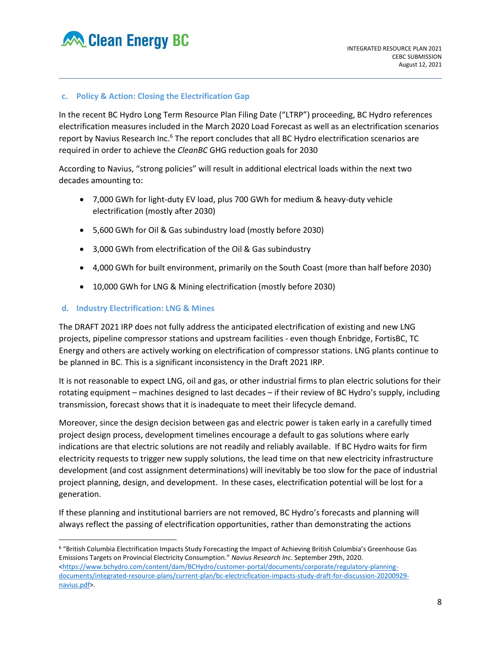

### **c. Policy & Action: Closing the Electrification Gap**

In the recent BC Hydro Long Term Resource Plan Filing Date ("LTRP") proceeding, BC Hydro references electrification measures included in the March 2020 Load Forecast as well as an electrification scenarios report by Navius Research Inc.<sup>6</sup> The report concludes that all BC Hydro electrification scenarios are required in order to achieve the *CleanBC* GHG reduction goals for 2030

According to Navius, "strong policies" will result in additional electrical loads within the next two decades amounting to:

- 7,000 GWh for light-duty EV load, plus 700 GWh for medium & heavy-duty vehicle electrification (mostly after 2030)
- 5,600 GWh for Oil & Gas subindustry load (mostly before 2030)
- 3,000 GWh from electrification of the Oil & Gas subindustry
- 4,000 GWh for built environment, primarily on the South Coast (more than half before 2030)
- 10,000 GWh for LNG & Mining electrification (mostly before 2030)

## **d. Industry Electrification: LNG & Mines**

The DRAFT 2021 IRP does not fully address the anticipated electrification of existing and new LNG projects, pipeline compressor stations and upstream facilities - even though Enbridge, FortisBC, TC Energy and others are actively working on electrification of compressor stations. LNG plants continue to be planned in BC. This is a significant inconsistency in the Draft 2021 IRP.

It is not reasonable to expect LNG, oil and gas, or other industrial firms to plan electric solutions for their rotating equipment – machines designed to last decades – if their review of BC Hydro's supply, including transmission, forecast shows that it is inadequate to meet their lifecycle demand.

Moreover, since the design decision between gas and electric power is taken early in a carefully timed project design process, development timelines encourage a default to gas solutions where early indications are that electric solutions are not readily and reliably available. If BC Hydro waits for firm electricity requests to trigger new supply solutions, the lead time on that new electricity infrastructure development (and cost assignment determinations) will inevitably be too slow for the pace of industrial project planning, design, and development. In these cases, electrification potential will be lost for a generation.

If these planning and institutional barriers are not removed, BC Hydro's forecasts and planning will always reflect the passing of electrification opportunities, rather than demonstrating the actions

<sup>6</sup> "British Columbia Electrification Impacts Study Forecasting the Impact of Achieving British Columbia's Greenhouse Gas Emissions Targets on Provincial Electricity Consumption." *Navius Research Inc*. September 29th, 2020. [<https://www.bchydro.com/content/dam/BCHydro/customer-portal/documents/corporate/regulatory-planning](https://www.bchydro.com/content/dam/BCHydro/customer-portal/documents/corporate/regulatory-planning-documents/integrated-resource-plans/current-plan/bc-electricfication-impacts-study-draft-for-discussion-20200929-navius.pdf)[documents/integrated-resource-plans/current-plan/bc-electricfication-impacts-study-draft-for-discussion-20200929](https://www.bchydro.com/content/dam/BCHydro/customer-portal/documents/corporate/regulatory-planning-documents/integrated-resource-plans/current-plan/bc-electricfication-impacts-study-draft-for-discussion-20200929-navius.pdf) [navius.pdf>](https://www.bchydro.com/content/dam/BCHydro/customer-portal/documents/corporate/regulatory-planning-documents/integrated-resource-plans/current-plan/bc-electricfication-impacts-study-draft-for-discussion-20200929-navius.pdf).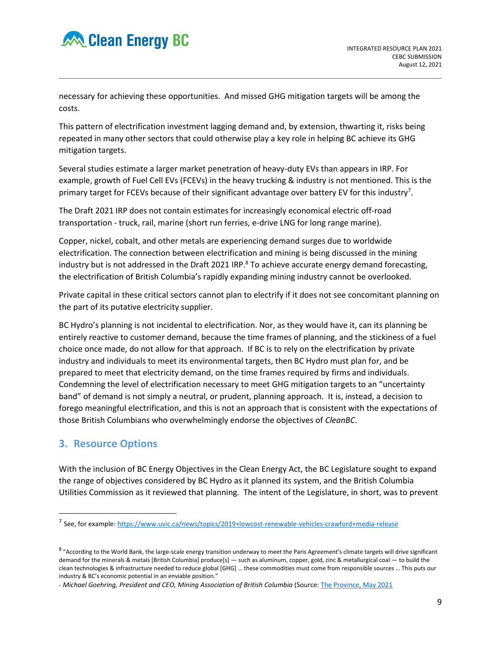

necessary for achieving these opportunities. And missed GHG mitigation targets will be among the costs.

This pattern of electrification investment lagging demand and, by extension, thwarting it, risks being repeated in many other sectors that could otherwise play a key role in helping BC achieve its GHG mitigation targets.

Several studies estimate a larger market penetration of heavy-duty EVs than appears in IRP. For example, growth of Fuel Cell EVs (FCEVs) in the heavy trucking & industry is not mentioned. This is the primary target for FCEVs because of their significant advantage over battery EV for this industry<sup>7</sup>.

The Draft 2021 IRP does not contain estimates for increasingly economical electric off-road transportation - truck, rail, marine (short run ferries, e-drive LNG for long range marine).

Copper, nickel, cobalt, and other metals are experiencing demand surges due to worldwide electrification. The connection between electrification and mining is being discussed in the mining industry but is not addressed in the Draft 2021 IRP.<sup>8</sup> To achieve accurate energy demand forecasting, the electrification of British Columbia's rapidly expanding mining industry cannot be overlooked.

Private capital in these critical sectors cannot plan to electrify if it does not see concomitant planning on the part of its putative electricity supplier.

BC Hydro's planning is not incidental to electrification. Nor, as they would have it, can its planning be entirely reactive to customer demand, because the time frames of planning, and the stickiness of a fuel choice once made, do not allow for that approach. If BC is to rely on the electrification by private industry and individuals to meet its environmental targets, then BC Hydro must plan for, and be prepared to meet that electricity demand, on the time frames required by firms and individuals. Condemning the level of electrification necessary to meet GHG mitigation targets to an "uncertainty band" of demand is not simply a neutral, or prudent, planning approach. It is, instead, a decision to forego meaningful electrification, and this is not an approach that is consistent with the expectations of those British Columbians who overwhelmingly endorse the objectives of *CleanBC*.

# **3. Resource Options**

With the inclusion of BC Energy Objectives in the Clean Energy Act, the BC Legislature sought to expand the range of objectives considered by BC Hydro as it planned its system, and the British Columbia Utilities Commission as it reviewed that planning. The intent of the Legislature, in short, was to prevent

<sup>&</sup>lt;sup>7</sup> See, for example[: https://www.uvic.ca/news/topics/2019+lowcost-renewable-vehicles-crawford+media-release](https://www.uvic.ca/news/topics/2019+lowcost-renewable-vehicles-crawford+media-release)

<sup>&</sup>lt;sup>8</sup> "According to the World Bank, the large-scale energy transition underway to meet the Paris Agreement's climate targets will drive significant demand for the minerals & metals [British Columbia] produce[s] — such as aluminum, copper, gold, zinc & metallurgical coal — to build the clean technologies & infrastructure needed to reduce global [GHG] … these commodities must come from responsible sources … This puts our industry & BC's economic potential in an enviable position."

<sup>-</sup> *Michael Goehring, President and CEO, Mining Association of British Columbia* (Source[: The Province, May 2021](https://theprovince.com/opinion/michael-goehring-b-c-can-be-brand-of-choice-to-supply-worlds-low-carbon-future)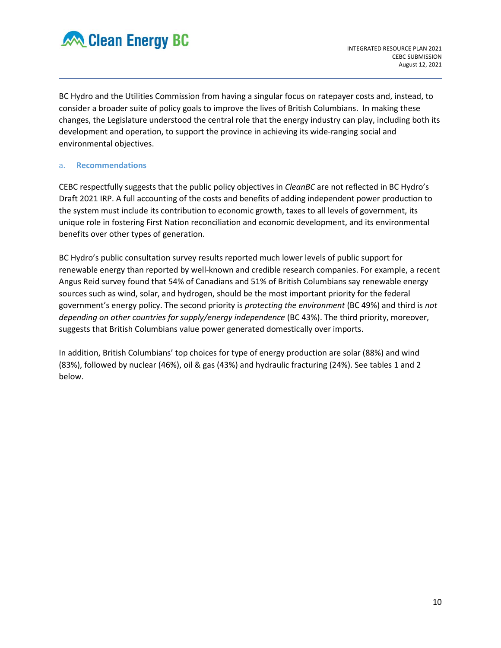

BC Hydro and the Utilities Commission from having a singular focus on ratepayer costs and, instead, to consider a broader suite of policy goals to improve the lives of British Columbians. In making these changes, the Legislature understood the central role that the energy industry can play, including both its development and operation, to support the province in achieving its wide-ranging social and environmental objectives.

### a. **Recommendations**

CEBC respectfully suggests that the public policy objectives in *CleanBC* are not reflected in BC Hydro's Draft 2021 IRP. A full accounting of the costs and benefits of adding independent power production to the system must include its contribution to economic growth, taxes to all levels of government, its unique role in fostering First Nation reconciliation and economic development, and its environmental benefits over other types of generation.

BC Hydro's public consultation survey results reported much lower levels of public support for renewable energy than reported by well-known and credible research companies. For example, a recent Angus Reid survey found that 54% of Canadians and 51% of British Columbians say renewable energy sources such as wind, solar, and hydrogen, should be the most important priority for the federal government's energy policy. The second priority is *protecting the environment* (BC 49%) and third is *not depending on other countries for supply/energy independence* (BC 43%). The third priority, moreover, suggests that British Columbians value power generated domestically over imports.

In addition, British Columbians' top choices for type of energy production are solar (88%) and wind (83%), followed by nuclear (46%), oil & gas (43%) and hydraulic fracturing (24%). See tables 1 and 2 below.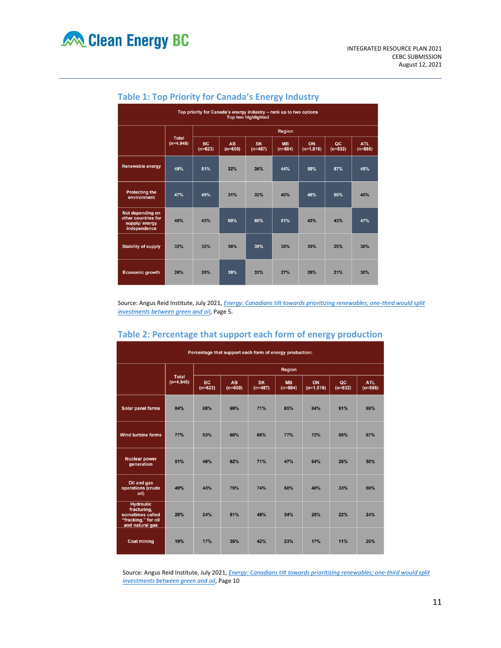| Top priority for Canada's energy industry - rank up to two options<br><b>Top two highlighted</b> |                      |                        |                        |                        |                        |                   |                 |                         |  |  |
|--------------------------------------------------------------------------------------------------|----------------------|------------------------|------------------------|------------------------|------------------------|-------------------|-----------------|-------------------------|--|--|
|                                                                                                  |                      | <b>Region</b>          |                        |                        |                        |                   |                 |                         |  |  |
|                                                                                                  | Total<br>$(n=4,948)$ | <b>BC</b><br>$(n=623)$ | <b>AB</b><br>$(n=600)$ | <b>SK</b><br>$(n=487)$ | <b>MB</b><br>$(n=504)$ | ON<br>$(n=1.016)$ | QC<br>$(n=832)$ | <b>ATL</b><br>$(n=886)$ |  |  |
| <b>Renewable energy</b>                                                                          | 49%                  | 51%                    | 32%                    | 36%                    | 44%                    | 50%               | 57%             | 48%                     |  |  |
| <b>Protecting the</b><br>environment                                                             | 47%                  | 49%                    | 31%                    | 32%                    | 40%                    | 48%               | 55%             | <b>45%</b>              |  |  |
| Not depending on<br>other countries for<br>supply/energy<br>independence                         | 46%                  | 43%                    | 60%                    | 60%                    | 51%                    | 43%               | 43%             | 47%                     |  |  |
| <b>Stability of supply</b>                                                                       | 32%                  | 32%                    | 38%                    | 39%                    | 38%                    | 35%               | 25%             | 30%                     |  |  |
| <b>Economic growth</b>                                                                           | 26%                  | 25%                    | 39%                    | 33%                    | 27%                    | 25%               | 21%             | 30%                     |  |  |

## **Table 1: Top Priority for Canada's Energy Industry**

Source: Angus Reid Institute, July 2021, *[Energy: Canadians tilt towards prioritizing renewables; one-third would split](https://angusreid.org/energy-priorities-2021/)  [investments between green and oil](https://angusreid.org/energy-priorities-2021/)*, Page 5.

| Table 2: Percentage that support each form of energy production |  |
|-----------------------------------------------------------------|--|
|-----------------------------------------------------------------|--|

| Percentage that support each form of energy production:                                       |                             |                        |                        |                        |                        |                   |                 |                  |  |  |
|-----------------------------------------------------------------------------------------------|-----------------------------|------------------------|------------------------|------------------------|------------------------|-------------------|-----------------|------------------|--|--|
|                                                                                               | <b>Total</b><br>$(n=4,948)$ | Region                 |                        |                        |                        |                   |                 |                  |  |  |
|                                                                                               |                             | <b>BC</b><br>$(n=623)$ | <b>AB</b><br>$(n=600)$ | <b>SK</b><br>$(n=487)$ | <b>MB</b><br>$(n=504)$ | ON<br>$(n=1,016)$ | QC<br>$(n=832)$ | ATL<br>$(n=886)$ |  |  |
| Solar panel farms                                                                             | 84%                         | 88%                    | 69%                    | 71%                    | 85%                    | 84%               | 91%             | 89%              |  |  |
| <b>Wind turbine farms</b>                                                                     | 77%                         | 83%                    | 60%                    | 65%                    | 77%                    | 72%               | 88%             | 87%              |  |  |
| <b>Nuclear power</b><br>generation                                                            | 51%                         | 46%                    | 62%                    | 71%                    | 47%                    | 64%               | 28%             | 50%              |  |  |
| Oil and gas<br>operations (crude<br>oil)                                                      | 49%                         | 43%                    | 75%                    | 74%                    | 58%                    | 48%               | 33%             | 59%              |  |  |
| <b>Hydraulic</b><br>fracturing,<br>sometimes called<br>"fracking," for oil<br>and natural gas | 28%                         | 24%                    | 51%                    | 49%                    | 34%                    | 25%               | 22%             | 24%              |  |  |
| <b>Coal mining</b>                                                                            | 19%                         | 17%                    | 35%                    | 42%                    | 23%                    | 17%               | 11%             | 20%              |  |  |

Source: Angus Reid Institute, July 2021, *[Energy: Canadians tilt towards prioritizing renewables; one-third would split](https://angusreid.org/energy-priorities-2021/)  [investments between green and oil](https://angusreid.org/energy-priorities-2021/)*, Page 10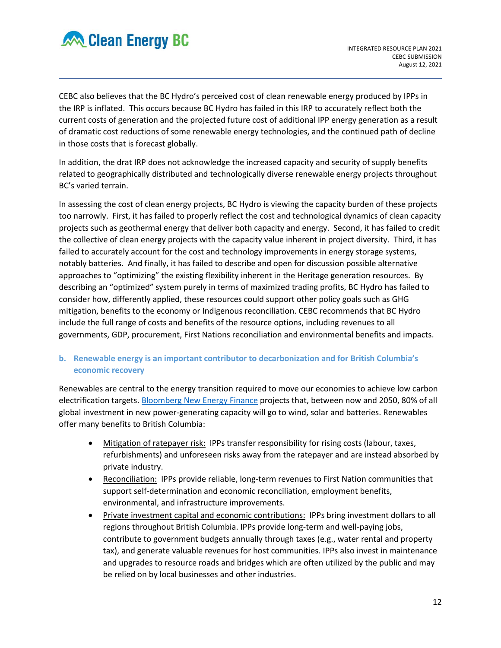

CEBC also believes that the BC Hydro's perceived cost of clean renewable energy produced by IPPs in the IRP is inflated. This occurs because BC Hydro has failed in this IRP to accurately reflect both the current costs of generation and the projected future cost of additional IPP energy generation as a result of dramatic cost reductions of some renewable energy technologies, and the continued path of decline in those costs that is forecast globally.

In addition, the drat IRP does not acknowledge the increased capacity and security of supply benefits related to geographically distributed and technologically diverse renewable energy projects throughout BC's varied terrain.

In assessing the cost of clean energy projects, BC Hydro is viewing the capacity burden of these projects too narrowly. First, it has failed to properly reflect the cost and technological dynamics of clean capacity projects such as geothermal energy that deliver both capacity and energy. Second, it has failed to credit the collective of clean energy projects with the capacity value inherent in project diversity. Third, it has failed to accurately account for the cost and technology improvements in energy storage systems, notably batteries. And finally, it has failed to describe and open for discussion possible alternative approaches to "optimizing" the existing flexibility inherent in the Heritage generation resources. By describing an "optimized" system purely in terms of maximized trading profits, BC Hydro has failed to consider how, differently applied, these resources could support other policy goals such as GHG mitigation, benefits to the economy or Indigenous reconciliation. CEBC recommends that BC Hydro include the full range of costs and benefits of the resource options, including revenues to all governments, GDP, procurement, First Nations reconciliation and environmental benefits and impacts.

## **b. Renewable energy is an important contributor to decarbonization and for British Columbia's economic recovery**

Renewables are central to the energy transition required to move our economies to achieve low carbon electrification targets. [Bloomberg New Energy Finance](https://about.bnef.com/new-energy-outlook/) projects that, between now and 2050, 80% of all global investment in new power-generating capacity will go to wind, solar and batteries. Renewables offer many benefits to British Columbia:

- Mitigation of ratepayer risk: IPPs transfer responsibility for rising costs (labour, taxes, refurbishments) and unforeseen risks away from the ratepayer and are instead absorbed by private industry.
- Reconciliation: IPPs provide reliable, long-term revenues to First Nation communities that support self-determination and economic reconciliation, employment benefits, environmental, and infrastructure improvements.
- Private investment capital and economic contributions: IPPs bring investment dollars to all regions throughout British Columbia. IPPs provide long-term and well-paying jobs, contribute to government budgets annually through taxes (e.g., water rental and property tax), and generate valuable revenues for host communities. IPPs also invest in maintenance and upgrades to resource roads and bridges which are often utilized by the public and may be relied on by local businesses and other industries.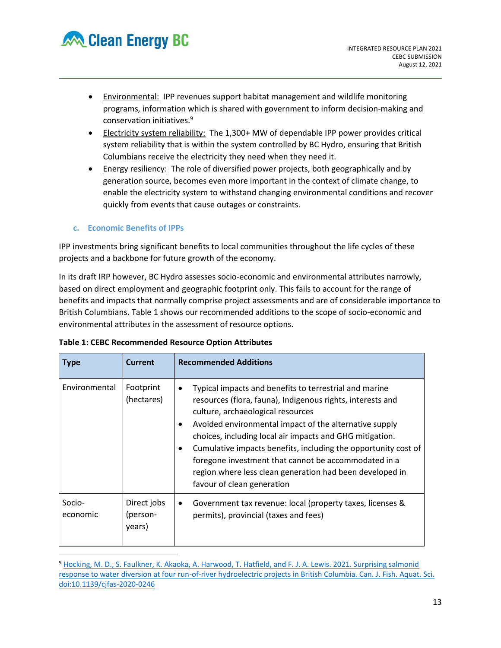

- Environmental: IPP revenues support habitat management and wildlife monitoring programs, information which is shared with government to inform decision-making and conservation initiatives.<sup>9</sup>
- Electricity system reliability: The 1,300+ MW of dependable IPP power provides critical system reliability that is within the system controlled by BC Hydro, ensuring that British Columbians receive the electricity they need when they need it.
- Energy resiliency: The role of diversified power projects, both geographically and by generation source, becomes even more important in the context of climate change, to enable the electricity system to withstand changing environmental conditions and recover quickly from events that cause outages or constraints.

## **c. Economic Benefits of IPPs**

IPP investments bring significant benefits to local communities throughout the life cycles of these projects and a backbone for future growth of the economy.

In its draft IRP however, BC Hydro assesses socio-economic and environmental attributes narrowly, based on direct employment and geographic footprint only. This fails to account for the range of benefits and impacts that normally comprise project assessments and are of considerable importance to British Columbians. Table 1 shows our recommended additions to the scope of socio-economic and environmental attributes in the assessment of resource options.

| <b>Type</b>        | <b>Current</b>                    | <b>Recommended Additions</b>                                                                                                                                                                                                                                                                                                                                                                                                                                                                                     |
|--------------------|-----------------------------------|------------------------------------------------------------------------------------------------------------------------------------------------------------------------------------------------------------------------------------------------------------------------------------------------------------------------------------------------------------------------------------------------------------------------------------------------------------------------------------------------------------------|
| Environmental      | Footprint<br>(hectares)           | Typical impacts and benefits to terrestrial and marine<br>$\bullet$<br>resources (flora, fauna), Indigenous rights, interests and<br>culture, archaeological resources<br>Avoided environmental impact of the alternative supply<br>choices, including local air impacts and GHG mitigation.<br>Cumulative impacts benefits, including the opportunity cost of<br>foregone investment that cannot be accommodated in a<br>region where less clean generation had been developed in<br>favour of clean generation |
| Socio-<br>economic | Direct jobs<br>(person-<br>years) | Government tax revenue: local (property taxes, licenses &<br>$\bullet$<br>permits), provincial (taxes and fees)                                                                                                                                                                                                                                                                                                                                                                                                  |

### **Table 1: CEBC Recommended Resource Option Attributes**

<sup>9</sup> [Hocking, M. D., S. Faulkner, K. Akaoka, A. Harwood, T. Hatfield, and F. J. A. Lewis. 2021. Surprising salmonid](file:///C:/Users/lynnd/Desktop/StayFresh/2021/10.1139/cjfas-2020-0246)  response to water diversion at four run-of-river hydroelectric projects in British Columbia. Can. J. Fish. Aquat. Sci. [doi:10.1139/cjfas-2020-0246](file:///C:/Users/lynnd/Desktop/StayFresh/2021/10.1139/cjfas-2020-0246)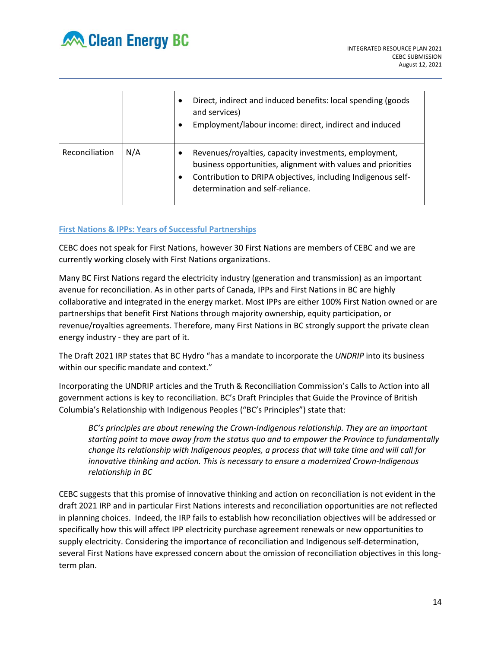

|                |     | Direct, indirect and induced benefits: local spending (goods)<br>and services)<br>Employment/labour income: direct, indirect and induced                                                                                  |
|----------------|-----|---------------------------------------------------------------------------------------------------------------------------------------------------------------------------------------------------------------------------|
| Reconciliation | N/A | Revenues/royalties, capacity investments, employment,<br>business opportunities, alignment with values and priorities<br>Contribution to DRIPA objectives, including Indigenous self-<br>determination and self-reliance. |

### **First Nations & IPPs: Years of Successful Partnerships**

CEBC does not speak for First Nations, however 30 First Nations are members of CEBC and we are currently working closely with First Nations organizations.

Many BC First Nations regard the electricity industry (generation and transmission) as an important avenue for reconciliation. As in other parts of Canada, IPPs and First Nations in BC are highly collaborative and integrated in the energy market. Most IPPs are either 100% First Nation owned or are partnerships that benefit First Nations through majority ownership, equity participation, or revenue/royalties agreements. Therefore, many First Nations in BC strongly support the private clean energy industry - they are part of it.

The Draft 2021 IRP states that BC Hydro "has a mandate to incorporate the *UNDRIP* into its business within our specific mandate and context."

Incorporating the UNDRIP articles and the Truth & Reconciliation Commission's Calls to Action into all government actions is key to reconciliation. BC's Draft Principles that Guide the Province of British Columbia's Relationship with Indigenous Peoples ("BC's Principles") state that:

*BC's principles are about renewing the Crown-Indigenous relationship. They are an important starting point to move away from the status quo and to empower the Province to fundamentally change its relationship with Indigenous peoples, a process that will take time and will call for innovative thinking and action. This is necessary to ensure a modernized Crown-Indigenous relationship in BC*

CEBC suggests that this promise of innovative thinking and action on reconciliation is not evident in the draft 2021 IRP and in particular First Nations interests and reconciliation opportunities are not reflected in planning choices. Indeed, the IRP fails to establish how reconciliation objectives will be addressed or specifically how this will affect IPP electricity purchase agreement renewals or new opportunities to supply electricity. Considering the importance of reconciliation and Indigenous self-determination, several First Nations have expressed concern about the omission of reconciliation objectives in this longterm plan.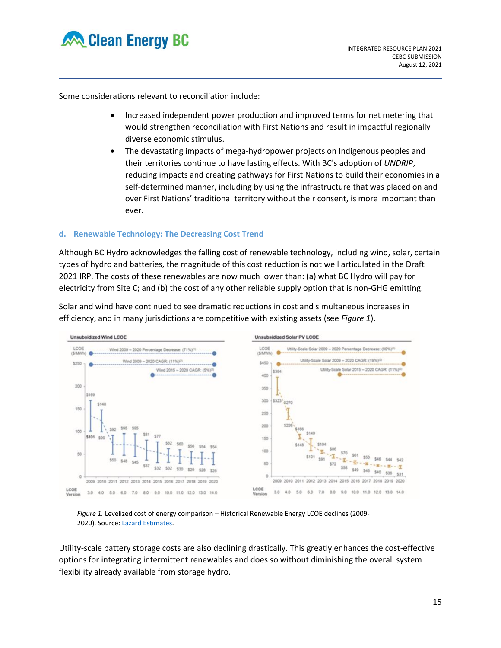

Some considerations relevant to reconciliation include:

- Increased independent power production and improved terms for net metering that would strengthen reconciliation with First Nations and result in impactful regionally diverse economic stimulus.
- The devastating impacts of mega-hydropower projects on Indigenous peoples and their territories continue to have lasting effects. With BC's adoption of *UNDRIP*, reducing impacts and creating pathways for First Nations to build their economies in a self-determined manner, including by using the infrastructure that was placed on and over First Nations' traditional territory without their consent, is more important than ever.

### **d. Renewable Technology: The Decreasing Cost Trend**

Although BC Hydro acknowledges the falling cost of renewable technology, including wind, solar, certain types of hydro and batteries, the magnitude of this cost reduction is not well articulated in the Draft 2021 IRP. The costs of these renewables are now much lower than: (a) what BC Hydro will pay for electricity from Site C; and (b) the cost of any other reliable supply option that is non-GHG emitting.

Solar and wind have continued to see dramatic reductions in cost and simultaneous increases in efficiency, and in many jurisdictions are competitive with existing assets (see *Figure 1*).



*Figure 1.* Levelized cost of energy comparison – Historical Renewable Energy LCOE declines (2009- 2020). Source[: Lazard Estimates.](https://www.lazard.com/perspective/levelized-cost-of-energy-and-levelized-cost-of-storage-2020/)

Utility-scale battery storage costs are also declining drastically. This greatly enhances the cost-effective options for integrating intermittent renewables and does so without diminishing the overall system flexibility already available from storage hydro.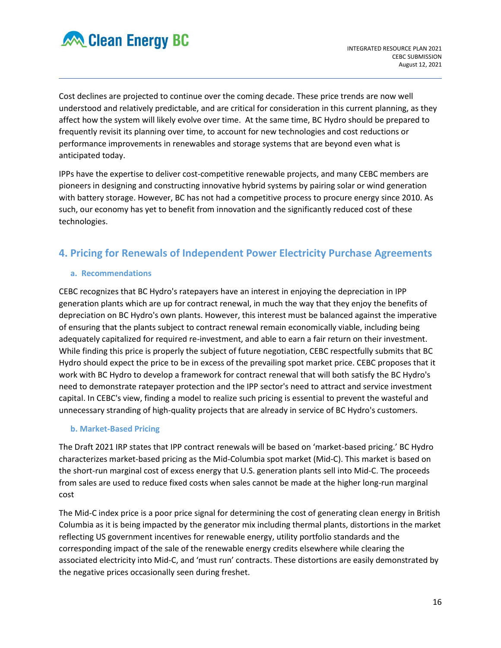

Cost declines are projected to continue over the coming decade. These price trends are now well understood and relatively predictable, and are critical for consideration in this current planning, as they affect how the system will likely evolve over time. At the same time, BC Hydro should be prepared to frequently revisit its planning over time, to account for new technologies and cost reductions or performance improvements in renewables and storage systems that are beyond even what is anticipated today.

IPPs have the expertise to deliver cost-competitive renewable projects, and many CEBC members are pioneers in designing and constructing innovative hybrid systems by pairing solar or wind generation with battery storage. However, BC has not had a competitive process to procure energy since 2010. As such, our economy has yet to benefit from innovation and the significantly reduced cost of these technologies.

# **4. Pricing for Renewals of Independent Power Electricity Purchase Agreements**

## **a. Recommendations**

CEBC recognizes that BC Hydro's ratepayers have an interest in enjoying the depreciation in IPP generation plants which are up for contract renewal, in much the way that they enjoy the benefits of depreciation on BC Hydro's own plants. However, this interest must be balanced against the imperative of ensuring that the plants subject to contract renewal remain economically viable, including being adequately capitalized for required re-investment, and able to earn a fair return on their investment. While finding this price is properly the subject of future negotiation, CEBC respectfully submits that BC Hydro should expect the price to be in excess of the prevailing spot market price. CEBC proposes that it work with BC Hydro to develop a framework for contract renewal that will both satisfy the BC Hydro's need to demonstrate ratepayer protection and the IPP sector's need to attract and service investment capital. In CEBC's view, finding a model to realize such pricing is essential to prevent the wasteful and unnecessary stranding of high-quality projects that are already in service of BC Hydro's customers.

### **b. Market-Based Pricing**

The Draft 2021 IRP states that IPP contract renewals will be based on 'market-based pricing.' BC Hydro characterizes market-based pricing as the Mid-Columbia spot market (Mid-C). This market is based on the short-run marginal cost of excess energy that U.S. generation plants sell into Mid-C. The proceeds from sales are used to reduce fixed costs when sales cannot be made at the higher long-run marginal cost

The Mid-C index price is a poor price signal for determining the cost of generating clean energy in British Columbia as it is being impacted by the generator mix including thermal plants, distortions in the market reflecting US government incentives for renewable energy, utility portfolio standards and the corresponding impact of the sale of the renewable energy credits elsewhere while clearing the associated electricity into Mid-C, and 'must run' contracts. These distortions are easily demonstrated by the negative prices occasionally seen during freshet.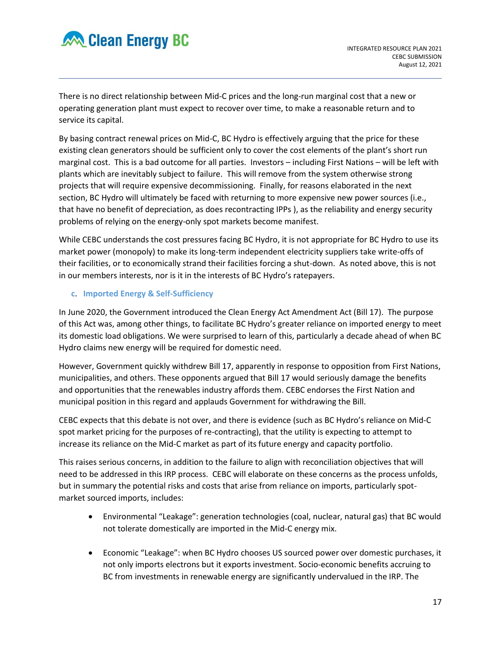

There is no direct relationship between Mid-C prices and the long-run marginal cost that a new or operating generation plant must expect to recover over time, to make a reasonable return and to service its capital.

By basing contract renewal prices on Mid-C, BC Hydro is effectively arguing that the price for these existing clean generators should be sufficient only to cover the cost elements of the plant's short run marginal cost. This is a bad outcome for all parties. Investors – including First Nations – will be left with plants which are inevitably subject to failure. This will remove from the system otherwise strong projects that will require expensive decommissioning. Finally, for reasons elaborated in the next section, BC Hydro will ultimately be faced with returning to more expensive new power sources (i.e., that have no benefit of depreciation, as does recontracting IPPs ), as the reliability and energy security problems of relying on the energy-only spot markets become manifest.

While CEBC understands the cost pressures facing BC Hydro, it is not appropriate for BC Hydro to use its market power (monopoly) to make its long-term independent electricity suppliers take write-offs of their facilities, or to economically strand their facilities forcing a shut-down. As noted above, this is not in our members interests, nor is it in the interests of BC Hydro's ratepayers.

## **c**. **Imported Energy & Self-Sufficiency**

In June 2020, the Government introduced the Clean Energy Act Amendment Act (Bill 17). The purpose of this Act was, among other things, to facilitate BC Hydro's greater reliance on imported energy to meet its domestic load obligations. We were surprised to learn of this, particularly a decade ahead of when BC Hydro claims new energy will be required for domestic need.

However, Government quickly withdrew Bill 17, apparently in response to opposition from First Nations, municipalities, and others. These opponents argued that Bill 17 would seriously damage the benefits and opportunities that the renewables industry affords them. CEBC endorses the First Nation and municipal position in this regard and applauds Government for withdrawing the Bill.

CEBC expects that this debate is not over, and there is evidence (such as BC Hydro's reliance on Mid-C spot market pricing for the purposes of re-contracting), that the utility is expecting to attempt to increase its reliance on the Mid-C market as part of its future energy and capacity portfolio.

This raises serious concerns, in addition to the failure to align with reconciliation objectives that will need to be addressed in this IRP process. CEBC will elaborate on these concerns as the process unfolds, but in summary the potential risks and costs that arise from reliance on imports, particularly spotmarket sourced imports, includes:

- Environmental "Leakage": generation technologies (coal, nuclear, natural gas) that BC would not tolerate domestically are imported in the Mid-C energy mix.
- Economic "Leakage": when BC Hydro chooses US sourced power over domestic purchases, it not only imports electrons but it exports investment. Socio-economic benefits accruing to BC from investments in renewable energy are significantly undervalued in the IRP. The